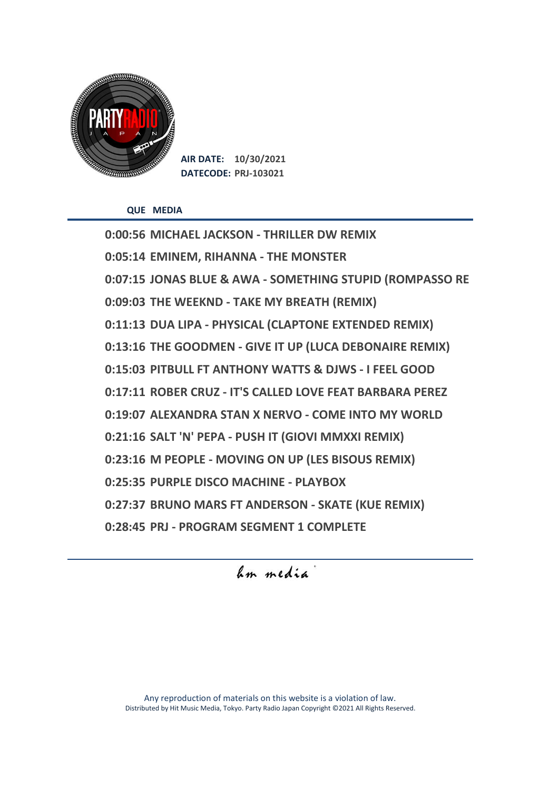

**AIR DATE: 10/30/2021 DATECODE: PRJ-103021**

**QUE MEDIA**

**0:00:56 MICHAEL JACKSON - THRILLER DW REMIX 0:05:14 EMINEM, RIHANNA - THE MONSTER 0:07:15 JONAS BLUE & AWA - SOMETHING STUPID (ROMPASSO RE 0:09:03 THE WEEKND - TAKE MY BREATH (REMIX) 0:11:13 DUA LIPA - PHYSICAL (CLAPTONE EXTENDED REMIX) 0:13:16 THE GOODMEN - GIVE IT UP (LUCA DEBONAIRE REMIX) 0:15:03 PITBULL FT ANTHONY WATTS & DJWS - I FEEL GOOD 0:17:11 ROBER CRUZ - IT'S CALLED LOVE FEAT BARBARA PEREZ 0:19:07 ALEXANDRA STAN X NERVO - COME INTO MY WORLD 0:21:16 SALT 'N' PEPA - PUSH IT (GIOVI MMXXI REMIX) 0:23:16 M PEOPLE - MOVING ON UP (LES BISOUS REMIX) 0:25:35 PURPLE DISCO MACHINE - PLAYBOX 0:27:37 BRUNO MARS FT ANDERSON - SKATE (KUE REMIX) 0:28:45 PRJ - PROGRAM SEGMENT 1 COMPLETE**

hum media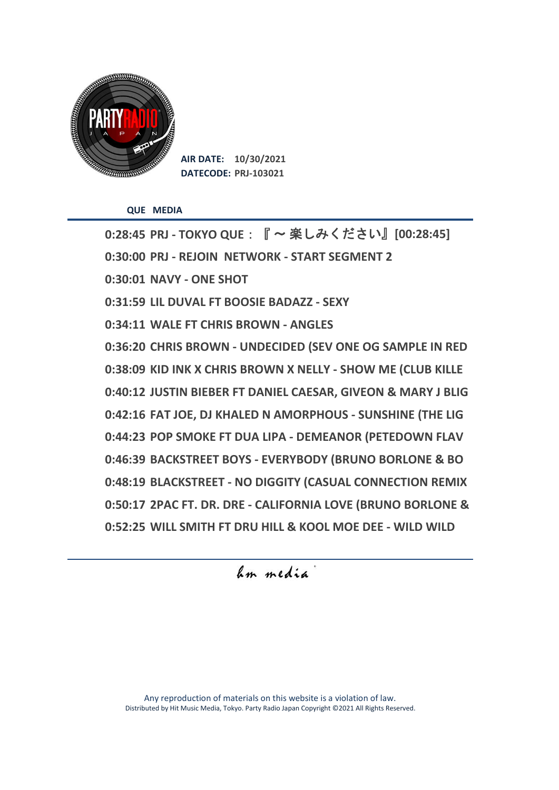

**AIR DATE: 10/30/2021 DATECODE: PRJ-103021**

**QUE MEDIA**

**0:28:45 PRJ - TOKYO QUE**:『 〜 楽しみください』**[00:28:45] 0:30:00 PRJ - REJOIN NETWORK - START SEGMENT 2 0:30:01 NAVY - ONE SHOT 0:31:59 LIL DUVAL FT BOOSIE BADAZZ - SEXY 0:34:11 WALE FT CHRIS BROWN - ANGLES 0:36:20 CHRIS BROWN - UNDECIDED (SEV ONE OG SAMPLE IN RED 0:38:09 KID INK X CHRIS BROWN X NELLY - SHOW ME (CLUB KILLE 0:40:12 JUSTIN BIEBER FT DANIEL CAESAR, GIVEON & MARY J BLIG 0:42:16 FAT JOE, DJ KHALED N AMORPHOUS - SUNSHINE (THE LIG 0:44:23 POP SMOKE FT DUA LIPA - DEMEANOR (PETEDOWN FLAV 0:46:39 BACKSTREET BOYS - EVERYBODY (BRUNO BORLONE & BO 0:48:19 BLACKSTREET - NO DIGGITY (CASUAL CONNECTION REMIX 0:50:17 2PAC FT. DR. DRE - CALIFORNIA LOVE (BRUNO BORLONE & 0:52:25 WILL SMITH FT DRU HILL & KOOL MOE DEE - WILD WILD** 

hum media